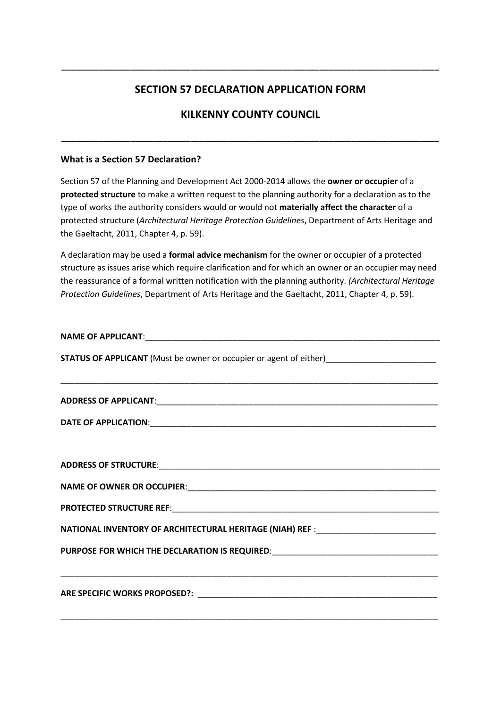## **SECTION 57 DECLARATION APPLICATION FORM**

**\_\_\_\_\_\_\_\_\_\_\_\_\_\_\_\_\_\_\_\_\_\_\_\_\_\_\_\_\_\_\_\_\_\_\_\_\_\_\_\_\_\_\_\_\_\_\_\_\_\_\_\_\_\_\_\_\_\_\_\_\_\_\_\_\_\_\_\_\_\_\_\_\_\_\_\_\_\_\_\_\_\_**

## **KILKENNY COUNTY COUNCIL**

**\_\_\_\_\_\_\_\_\_\_\_\_\_\_\_\_\_\_\_\_\_\_\_\_\_\_\_\_\_\_\_\_\_\_\_\_\_\_\_\_\_\_\_\_\_\_\_\_\_\_\_\_\_\_\_\_\_\_\_\_\_\_\_\_\_\_\_\_\_\_\_\_\_\_\_\_\_\_\_\_\_\_**

## **What is a Section 57 Declaration?**

Section 57 of the Planning and Development Act 2000-2014 allows the **owner or occupier** of a **protected structure** to make a written request to the planning authority for a declaration as to the type of works the authority considers would or would not **materially affect the character** of a protected structure (*Architectural Heritage Protection Guidelines*, Department of Arts Heritage and the Gaeltacht, 2011, Chapter 4, p. 59).

A declaration may be used a **formal advice mechanism** for the owner or occupier of a protected structure as issues arise which require clarification and for which an owner or an occupier may need the reassurance of a formal written notification with the planning authority. *(Architectural Heritage Protection Guidelines*, Department of Arts Heritage and the Gaeltacht, 2011, Chapter 4, p. 59).

| STATUS OF APPLICANT (Must be owner or occupier or agent of either)_________________________________ |
|-----------------------------------------------------------------------------------------------------|
|                                                                                                     |
|                                                                                                     |
|                                                                                                     |
|                                                                                                     |
|                                                                                                     |
|                                                                                                     |
| NATIONAL INVENTORY OF ARCHITECTURAL HERITAGE (NIAH) REF : ______________________                    |
| PURPOSE FOR WHICH THE DECLARATION IS REQUIRED: _________________________________                    |
|                                                                                                     |
|                                                                                                     |
|                                                                                                     |